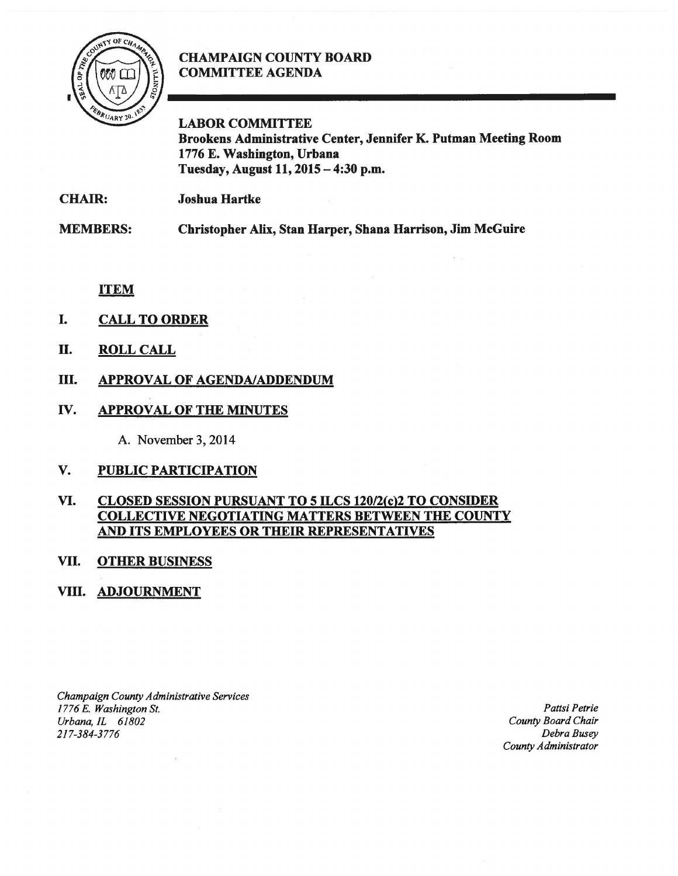

## **CHAMPAIGN COUNTY BOARD** COMMITTEE AGENDA

LABOR COMMITTEE Brookens Administrative Center, Jennifer K. Putman Meeting Room 1776 E. Washington, Urbana Tuesday, August 11,2015-4:30 p.m.

| <b>CHAIR:</b> | <b>Joshua Hartke</b> |
|---------------|----------------------|
|---------------|----------------------|

MEMBERS: Christopher Alix, Stan Harper, Shana Harrison, Jim McGuire

ITEM

- I. CALL TO ORDER
- II. ROLL CALL
- III. APPROVAL OF AGENDA/ADDENDUM
- IV. APPROVAL OF THE MINUTES

A. November 3, 2014

V. PUBLIC PARTICIPATION

## VI. CLOSED SESSION PURSUANT TO 5 ILCS 120/2(c)2 TO CONSIDER COLLECTIVE NEGOTIATING MATTERS BETWEEN THE COUNTY AND ITS EMPLOYEES OR THEIR REPRESENTATIVES

## VII. OTHER BUSINESS

## VIII. ADJOURNMENT

*Champaign County Administrative Services 1776 E. Washington St.*  Urbana, IL 61802 *217-384-3776* 

*Pattsi Petrie County Board Chair Debra Busey County Administrator*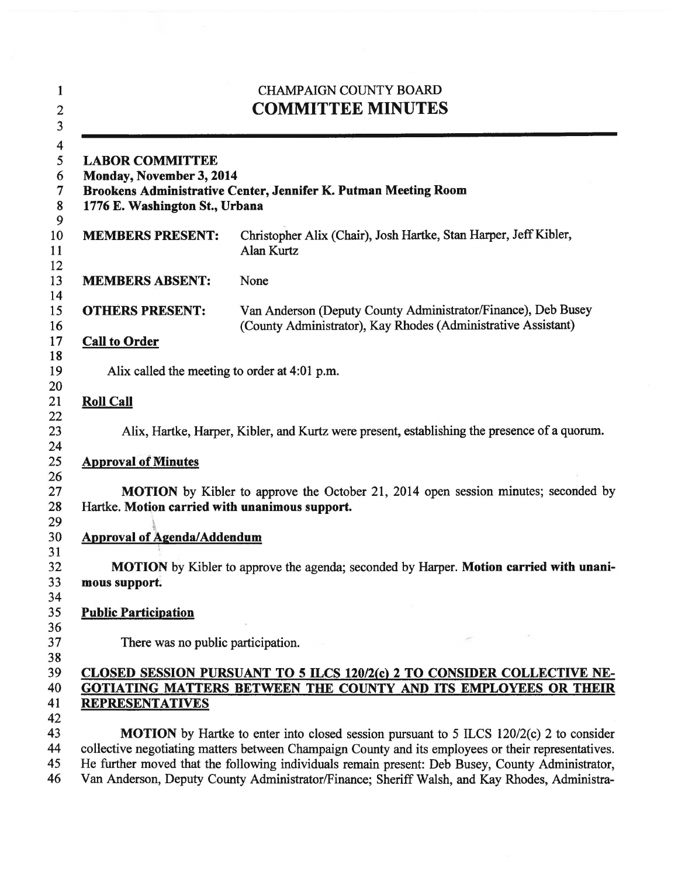| <b>CHAMPAIGN COUNTY BOARD</b><br><b>COMMITTEE MINUTES</b><br><b>LABOR COMMITTEE</b><br>Monday, November 3, 2014<br>Brookens Administrative Center, Jennifer K. Putman Meeting Room<br>1776 E. Washington St., Urbana |                                                                                                                                                                                                                                                                                                           |  |
|----------------------------------------------------------------------------------------------------------------------------------------------------------------------------------------------------------------------|-----------------------------------------------------------------------------------------------------------------------------------------------------------------------------------------------------------------------------------------------------------------------------------------------------------|--|
|                                                                                                                                                                                                                      |                                                                                                                                                                                                                                                                                                           |  |
| <b>MEMBERS ABSENT:</b>                                                                                                                                                                                               | None                                                                                                                                                                                                                                                                                                      |  |
| <b>OTHERS PRESENT:</b>                                                                                                                                                                                               | Van Anderson (Deputy County Administrator/Finance), Deb Busey<br>(County Administrator), Kay Rhodes (Administrative Assistant)                                                                                                                                                                            |  |
| <b>Call to Order</b>                                                                                                                                                                                                 |                                                                                                                                                                                                                                                                                                           |  |
| Alix called the meeting to order at 4:01 p.m.                                                                                                                                                                        |                                                                                                                                                                                                                                                                                                           |  |
| <b>Roll Call</b>                                                                                                                                                                                                     |                                                                                                                                                                                                                                                                                                           |  |
|                                                                                                                                                                                                                      | Alix, Hartke, Harper, Kibler, and Kurtz were present, establishing the presence of a quorum.                                                                                                                                                                                                              |  |
| <b>Approval of Minutes</b>                                                                                                                                                                                           |                                                                                                                                                                                                                                                                                                           |  |
| Hartke. Motion carried with unanimous support.                                                                                                                                                                       | <b>MOTION</b> by Kibler to approve the October 21, 2014 open session minutes; seconded by                                                                                                                                                                                                                 |  |
| <b>Approval of Agenda/Addendum</b>                                                                                                                                                                                   |                                                                                                                                                                                                                                                                                                           |  |
| mous support.                                                                                                                                                                                                        | <b>MOTION</b> by Kibler to approve the agenda; seconded by Harper. Motion carried with unani-                                                                                                                                                                                                             |  |
| <b>Public Participation</b>                                                                                                                                                                                          |                                                                                                                                                                                                                                                                                                           |  |
| There was no public participation.                                                                                                                                                                                   |                                                                                                                                                                                                                                                                                                           |  |
| <b>REPRESENTATIVES</b>                                                                                                                                                                                               | CLOSED SESSION PURSUANT TO 5 ILCS 120/2(c) 2 TO CONSIDER COLLECTIVE NE-<br><b>GOTIATING MATTERS BETWEEN THE COUNTY AND ITS EMPLOYEES OR THEIR</b>                                                                                                                                                         |  |
|                                                                                                                                                                                                                      | <b>MOTION</b> by Hartke to enter into closed session pursuant to 5 ILCS 120/2(c) 2 to consider<br>collective negotiating matters between Champaign County and its employees or their representatives.<br>He further moved that the following individuals remain present: Deb Busey, County Administrator, |  |